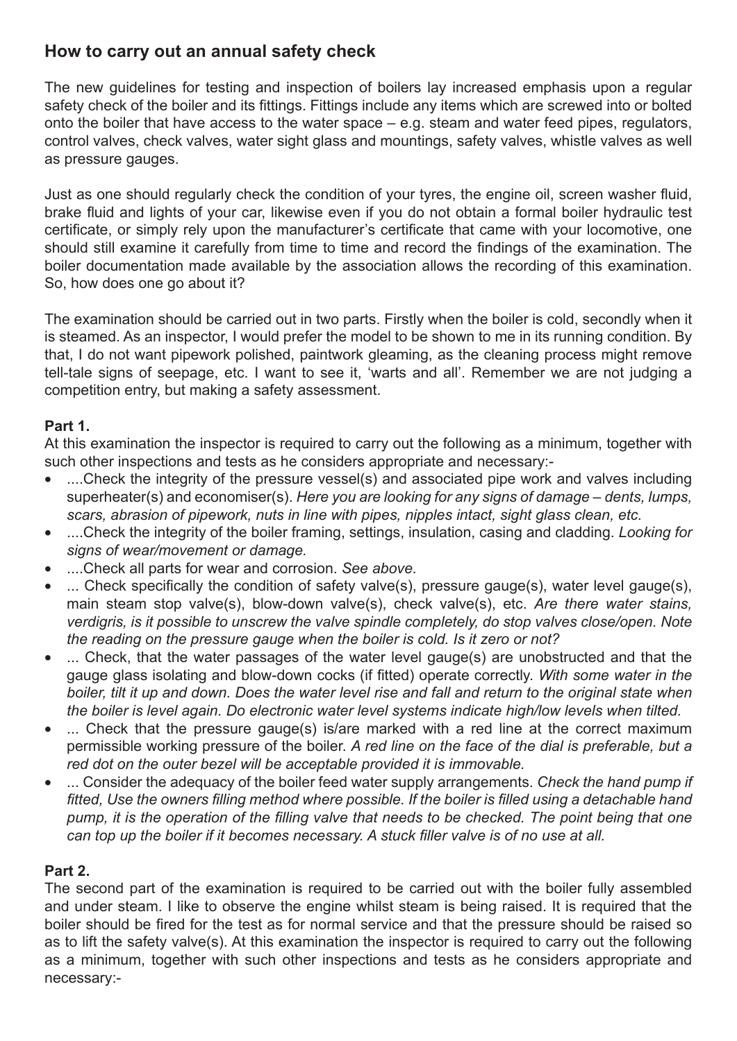## **How to carry out an annual safety check**

The new guidelines for testing and inspection of boilers lay increased emphasis upon a regular safety check of the boiler and its fittings. Fittings include any items which are screwed into or bolted onto the boiler that have access to the water space – e.g. steam and water feed pipes, regulators, control valves, check valves, water sight glass and mountings, safety valves, whistle valves as well as pressure gauges.

Just as one should regularly check the condition of your tyres, the engine oil, screen washer fluid, brake fluid and lights of your car, likewise even if you do not obtain a formal boiler hydraulic test certificate, or simply rely upon the manufacturer's certificate that came with your locomotive, one should still examine it carefully from time to time and record the findings of the examination. The boiler documentation made available by the association allows the recording of this examination. So, how does one go about it?

The examination should be carried out in two parts. Firstly when the boiler is cold, secondly when it is steamed. As an inspector, I would prefer the model to be shown to me in its running condition. By that, I do not want pipework polished, paintwork gleaming, as the cleaning process might remove tell-tale signs of seepage, etc. I want to see it, 'warts and all'. Remember we are not judging a competition entry, but making a safety assessment.

## **Part 1.**

At this examination the inspector is required to carry out the following as a minimum, together with such other inspections and tests as he considers appropriate and necessary:-

- ....Check the integrity of the pressure vessel(s) and associated pipe work and valves including superheater(s) and economiser(s). *Here you are looking for any signs of damage – dents, lumps, scars, abrasion of pipework, nuts in line with pipes, nipples intact, sight glass clean, etc.*
- ....Check the integrity of the boiler framing, settings, insulation, casing and cladding. *Looking for signs of wear/movement or damage.*
- ....Check all parts for wear and corrosion. *See above.*
- ... Check specifically the condition of safety valve(s), pressure gauge(s), water level gauge(s), main steam stop valve(s), blow-down valve(s), check valve(s), etc. *Are there water stains, verdigris, is it possible to unscrew the valve spindle completely, do stop valves close/open. Note the reading on the pressure gauge when the boiler is cold. Is it zero or not?*
- ... Check, that the water passages of the water level gauge(s) are unobstructed and that the gauge glass isolating and blow-down cocks (if fitted) operate correctly. With some water in the *boiler, tilt it up and down. Does the water level rise and fall and return to the original state when the boiler is level again. Do electronic water level systems indicate high/low levels when tilted.*
- ... Check that the pressure gauge(s) is/are marked with a red line at the correct maximum permissible working pressure of the boiler. *A red line on the face of the dial is preferable, but a red dot on the outer bezel will be acceptable provided it is immovable.*
- ... Consider the adequacy of the boiler feed water supply arrangements. *Check the hand pump if*  fitted, Use the owners filling method where possible. If the boiler is filled using a detachable hand pump, it is the operation of the filling valve that needs to be checked. The point being that one *can top up the boiler if it becomes necessary. A stuck filler valve is of no use at all.*

## **Part 2.**

The second part of the examination is required to be carried out with the boiler fully assembled and under steam. I like to observe the engine whilst steam is being raised. It is required that the boiler should be fired for the test as for normal service and that the pressure should be raised so as to lift the safety valve(s). At this examination the inspector is required to carry out the following as a minimum, together with such other inspections and tests as he considers appropriate and necessary:-